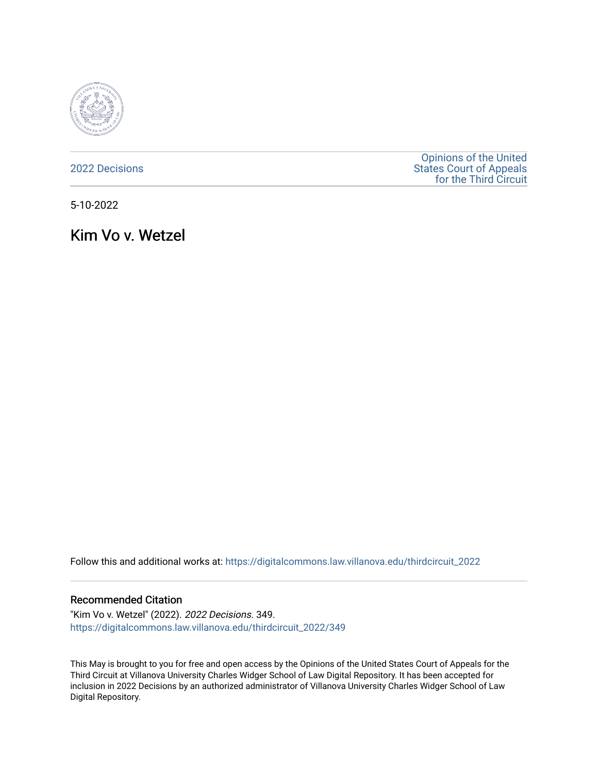

[2022 Decisions](https://digitalcommons.law.villanova.edu/thirdcircuit_2022)

[Opinions of the United](https://digitalcommons.law.villanova.edu/thirdcircuit)  [States Court of Appeals](https://digitalcommons.law.villanova.edu/thirdcircuit)  [for the Third Circuit](https://digitalcommons.law.villanova.edu/thirdcircuit) 

5-10-2022

Kim Vo v. Wetzel

Follow this and additional works at: [https://digitalcommons.law.villanova.edu/thirdcircuit\\_2022](https://digitalcommons.law.villanova.edu/thirdcircuit_2022?utm_source=digitalcommons.law.villanova.edu%2Fthirdcircuit_2022%2F349&utm_medium=PDF&utm_campaign=PDFCoverPages) 

### Recommended Citation

"Kim Vo v. Wetzel" (2022). 2022 Decisions. 349. [https://digitalcommons.law.villanova.edu/thirdcircuit\\_2022/349](https://digitalcommons.law.villanova.edu/thirdcircuit_2022/349?utm_source=digitalcommons.law.villanova.edu%2Fthirdcircuit_2022%2F349&utm_medium=PDF&utm_campaign=PDFCoverPages)

This May is brought to you for free and open access by the Opinions of the United States Court of Appeals for the Third Circuit at Villanova University Charles Widger School of Law Digital Repository. It has been accepted for inclusion in 2022 Decisions by an authorized administrator of Villanova University Charles Widger School of Law Digital Repository.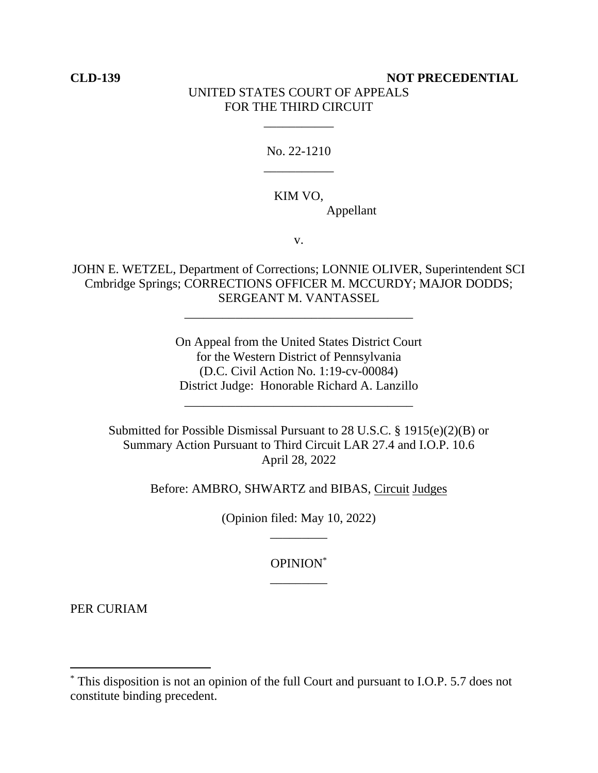# **CLD-139 NOT PRECEDENTIAL** UNITED STATES COURT OF APPEALS FOR THE THIRD CIRCUIT

No. 22-1210 \_\_\_\_\_\_\_\_\_\_\_

\_\_\_\_\_\_\_\_\_\_\_

## KIM VO,

Appellant

v.

JOHN E. WETZEL, Department of Corrections; LONNIE OLIVER, Superintendent SCI Cmbridge Springs; CORRECTIONS OFFICER M. MCCURDY; MAJOR DODDS; SERGEANT M. VANTASSEL

\_\_\_\_\_\_\_\_\_\_\_\_\_\_\_\_\_\_\_\_\_\_\_\_\_\_\_\_\_\_\_\_\_\_\_\_

On Appeal from the United States District Court for the Western District of Pennsylvania (D.C. Civil Action No. 1:19-cv-00084) District Judge: Honorable Richard A. Lanzillo

Submitted for Possible Dismissal Pursuant to 28 U.S.C. § 1915(e)(2)(B) or Summary Action Pursuant to Third Circuit LAR 27.4 and I.O.P. 10.6 April 28, 2022

\_\_\_\_\_\_\_\_\_\_\_\_\_\_\_\_\_\_\_\_\_\_\_\_\_\_\_\_\_\_\_\_\_\_\_\_

Before: AMBRO, SHWARTZ and BIBAS, Circuit Judges

(Opinion filed: May 10, 2022) \_\_\_\_\_\_\_\_\_

> OPINION\* \_\_\_\_\_\_\_\_\_

PER CURIAM

<sup>\*</sup> This disposition is not an opinion of the full Court and pursuant to I.O.P. 5.7 does not constitute binding precedent.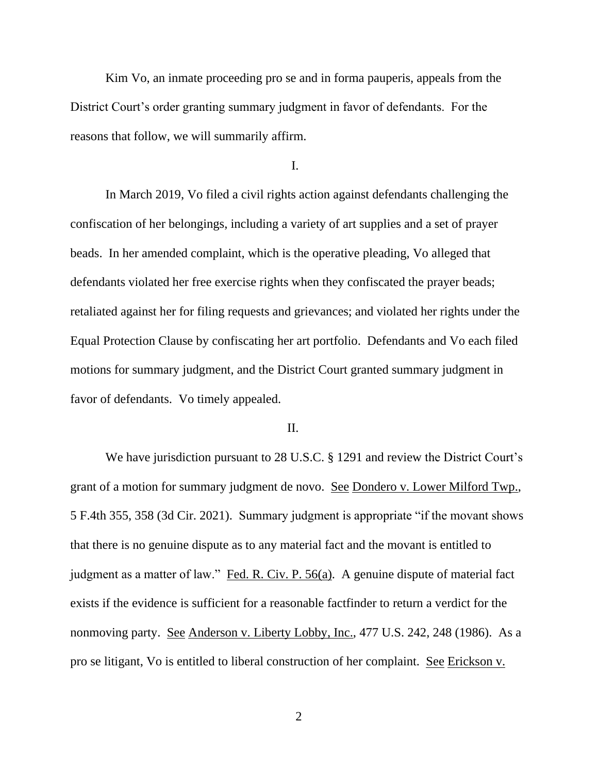Kim Vo, an inmate proceeding pro se and in forma pauperis, appeals from the District Court's order granting summary judgment in favor of defendants. For the reasons that follow, we will summarily affirm.

I.

In March 2019, Vo filed a civil rights action against defendants challenging the confiscation of her belongings, including a variety of art supplies and a set of prayer beads. In her amended complaint, which is the operative pleading, Vo alleged that defendants violated her free exercise rights when they confiscated the prayer beads; retaliated against her for filing requests and grievances; and violated her rights under the Equal Protection Clause by confiscating her art portfolio. Defendants and Vo each filed motions for summary judgment, and the District Court granted summary judgment in favor of defendants. Vo timely appealed.

## II.

We have jurisdiction pursuant to 28 U.S.C. § 1291 and review the District Court's grant of a motion for summary judgment de novo. See Dondero v. Lower Milford Twp., 5 F.4th 355, 358 (3d Cir. 2021). Summary judgment is appropriate "if the movant shows that there is no genuine dispute as to any material fact and the movant is entitled to judgment as a matter of law." Fed. R. Civ. P. 56(a). A genuine dispute of material fact exists if the evidence is sufficient for a reasonable factfinder to return a verdict for the nonmoving party. See Anderson v. Liberty Lobby, Inc., 477 U.S. 242, 248 (1986). As a pro se litigant, Vo is entitled to liberal construction of her complaint. See Erickson v.

2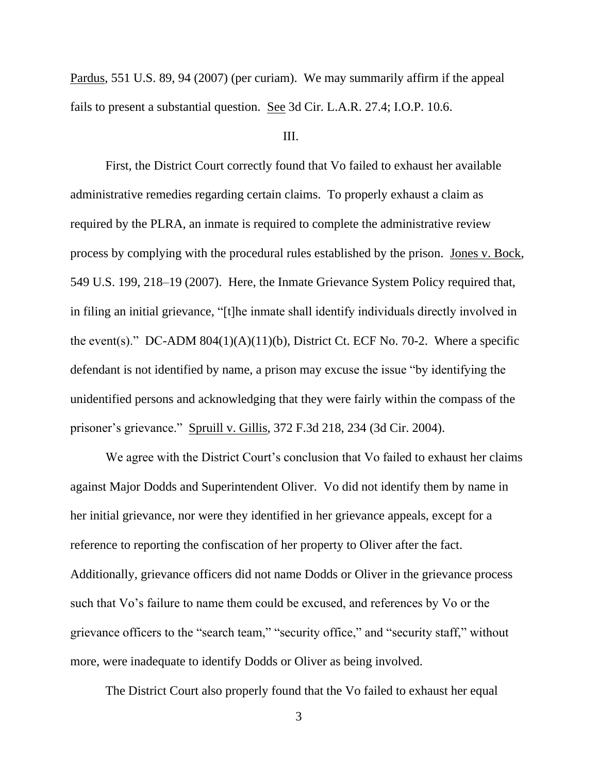Pardus, 551 U.S. 89, 94 (2007) (per curiam). We may summarily affirm if the appeal fails to present a substantial question. See 3d Cir. L.A.R. 27.4; I.O.P. 10.6.

### III.

First, the District Court correctly found that Vo failed to exhaust her available administrative remedies regarding certain claims. To properly exhaust a claim as required by the PLRA, an inmate is required to complete the administrative review process by complying with the procedural rules established by the prison. Jones v. Bock, 549 U.S. 199, 218–19 (2007). Here, the Inmate Grievance System Policy required that, in filing an initial grievance, "[t]he inmate shall identify individuals directly involved in the event(s)." DC-ADM  $804(1)(A)(11)(b)$ , District Ct. ECF No. 70-2. Where a specific defendant is not identified by name, a prison may excuse the issue "by identifying the unidentified persons and acknowledging that they were fairly within the compass of the prisoner's grievance." Spruill v. Gillis, 372 F.3d 218, 234 (3d Cir. 2004).

We agree with the District Court's conclusion that Vo failed to exhaust her claims against Major Dodds and Superintendent Oliver. Vo did not identify them by name in her initial grievance, nor were they identified in her grievance appeals, except for a reference to reporting the confiscation of her property to Oliver after the fact. Additionally, grievance officers did not name Dodds or Oliver in the grievance process such that Vo's failure to name them could be excused, and references by Vo or the grievance officers to the "search team," "security office," and "security staff," without more, were inadequate to identify Dodds or Oliver as being involved.

The District Court also properly found that the Vo failed to exhaust her equal

3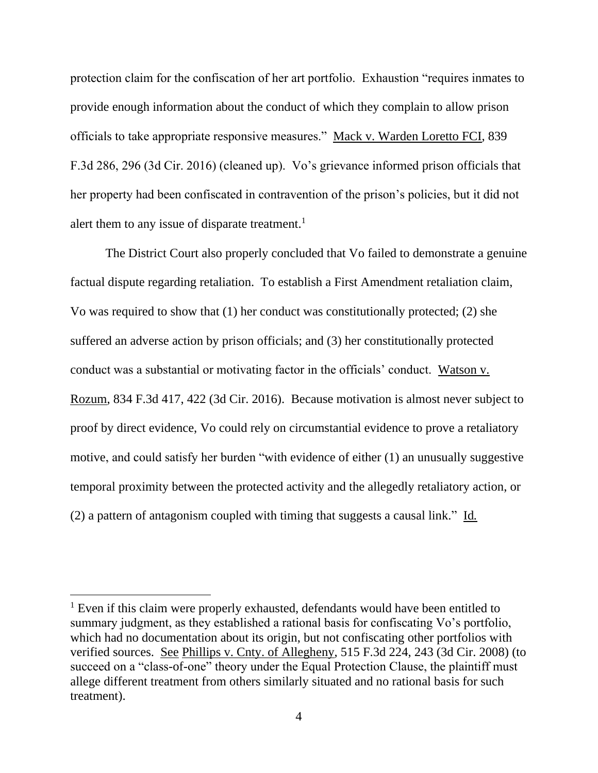protection claim for the confiscation of her art portfolio. Exhaustion "requires inmates to provide enough information about the conduct of which they complain to allow prison officials to take appropriate responsive measures." Mack v. Warden Loretto FCI, 839 F.3d 286, 296 (3d Cir. 2016) (cleaned up). Vo's grievance informed prison officials that her property had been confiscated in contravention of the prison's policies, but it did not alert them to any issue of disparate treatment.<sup>1</sup>

The District Court also properly concluded that Vo failed to demonstrate a genuine factual dispute regarding retaliation. To establish a First Amendment retaliation claim, Vo was required to show that (1) her conduct was constitutionally protected; (2) she suffered an adverse action by prison officials; and (3) her constitutionally protected conduct was a substantial or motivating factor in the officials' conduct. Watson v. Rozum, 834 F.3d 417, 422 (3d Cir. 2016). Because motivation is almost never subject to proof by direct evidence, Vo could rely on circumstantial evidence to prove a retaliatory motive, and could satisfy her burden "with evidence of either (1) an unusually suggestive temporal proximity between the protected activity and the allegedly retaliatory action, or (2) a pattern of antagonism coupled with timing that suggests a causal link." Id*.*

<sup>&</sup>lt;sup>1</sup> Even if this claim were properly exhausted, defendants would have been entitled to summary judgment, as they established a rational basis for confiscating Vo's portfolio, which had no documentation about its origin, but not confiscating other portfolios with verified sources. See Phillips v. Cnty. of Allegheny, 515 F.3d 224, 243 (3d Cir. 2008) (to succeed on a "class-of-one" theory under the Equal Protection Clause, the plaintiff must allege different treatment from others similarly situated and no rational basis for such treatment).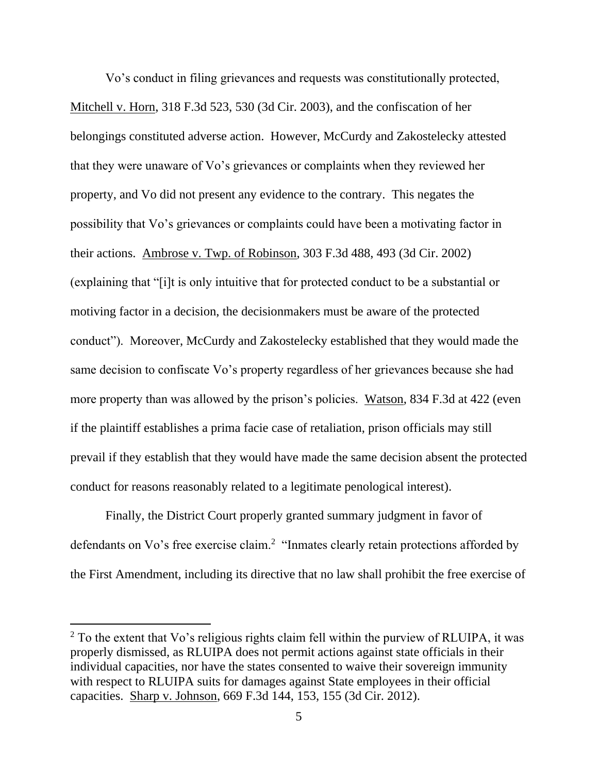Vo's conduct in filing grievances and requests was constitutionally protected, Mitchell v. Horn, 318 F.3d 523, 530 (3d Cir. 2003), and the confiscation of her belongings constituted adverse action. However, McCurdy and Zakostelecky attested that they were unaware of Vo's grievances or complaints when they reviewed her property, and Vo did not present any evidence to the contrary. This negates the possibility that Vo's grievances or complaints could have been a motivating factor in their actions. Ambrose v. Twp. of Robinson, 303 F.3d 488, 493 (3d Cir. 2002) (explaining that "[i]t is only intuitive that for protected conduct to be a substantial or motiving factor in a decision, the decisionmakers must be aware of the protected conduct"). Moreover, McCurdy and Zakostelecky established that they would made the same decision to confiscate Vo's property regardless of her grievances because she had more property than was allowed by the prison's policies. Watson, 834 F.3d at 422 (even if the plaintiff establishes a prima facie case of retaliation, prison officials may still prevail if they establish that they would have made the same decision absent the protected conduct for reasons reasonably related to a legitimate penological interest).

Finally, the District Court properly granted summary judgment in favor of defendants on Vo's free exercise claim.<sup>2</sup> "Inmates clearly retain protections afforded by the First Amendment, including its directive that no law shall prohibit the free exercise of

 $2$  To the extent that Vo's religious rights claim fell within the purview of RLUIPA, it was properly dismissed, as RLUIPA does not permit actions against state officials in their individual capacities, nor have the states consented to waive their sovereign immunity with respect to RLUIPA suits for damages against State employees in their official capacities. Sharp v. Johnson, 669 F.3d 144, 153, 155 (3d Cir. 2012).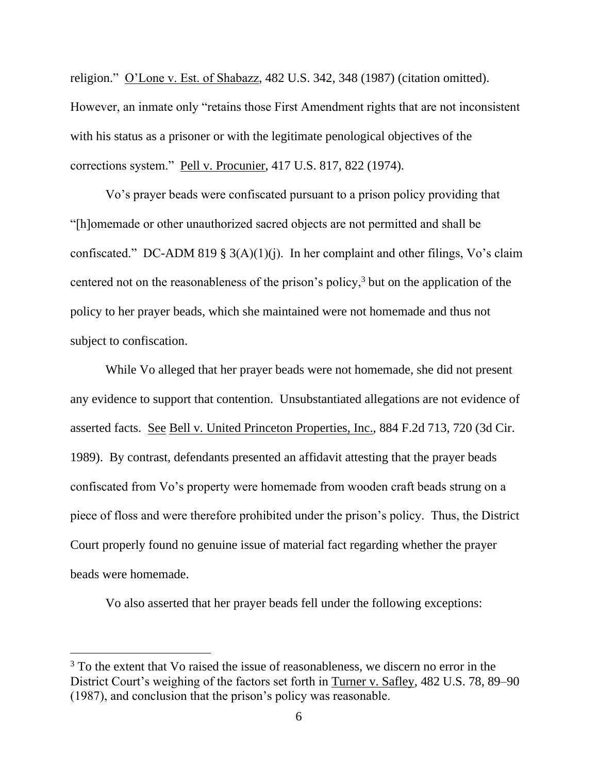religion." O'Lone v. Est. of Shabazz, 482 U.S. 342, 348 (1987) (citation omitted). However, an inmate only "retains those First Amendment rights that are not inconsistent with his status as a prisoner or with the legitimate penological objectives of the corrections system." Pell v. Procunier, 417 U.S. 817, 822 (1974).

Vo's prayer beads were confiscated pursuant to a prison policy providing that "[h]omemade or other unauthorized sacred objects are not permitted and shall be confiscated." DC-ADM 819 § 3(A)(1)(j). In her complaint and other filings, Vo's claim centered not on the reasonableness of the prison's policy,<sup>3</sup> but on the application of the policy to her prayer beads, which she maintained were not homemade and thus not subject to confiscation.

While Vo alleged that her prayer beads were not homemade, she did not present any evidence to support that contention. Unsubstantiated allegations are not evidence of asserted facts. See Bell v. United Princeton Properties, Inc., 884 F.2d 713, 720 (3d Cir. 1989). By contrast, defendants presented an affidavit attesting that the prayer beads confiscated from Vo's property were homemade from wooden craft beads strung on a piece of floss and were therefore prohibited under the prison's policy. Thus, the District Court properly found no genuine issue of material fact regarding whether the prayer beads were homemade.

Vo also asserted that her prayer beads fell under the following exceptions:

 $3$  To the extent that Vo raised the issue of reasonableness, we discern no error in the District Court's weighing of the factors set forth in Turner v. Safley, 482 U.S. 78, 89–90 (1987), and conclusion that the prison's policy was reasonable.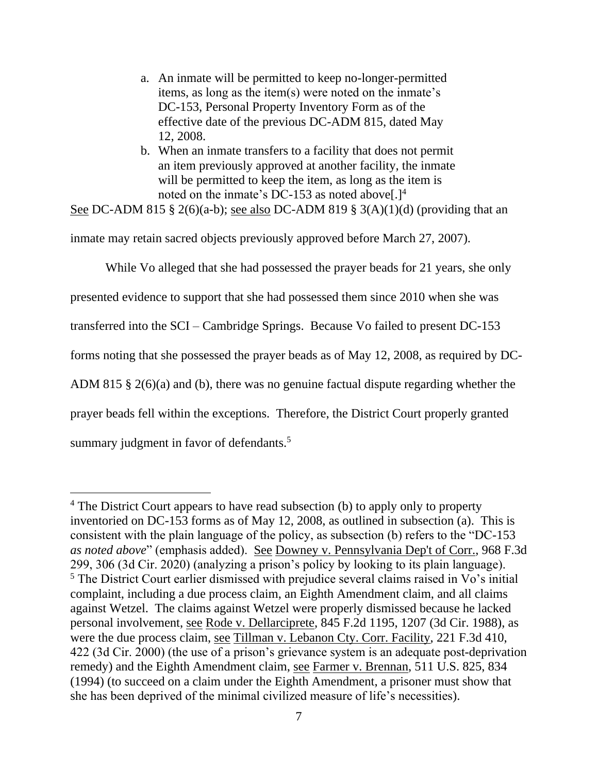- a. An inmate will be permitted to keep no-longer-permitted items, as long as the item(s) were noted on the inmate's DC-153, Personal Property Inventory Form as of the effective date of the previous DC-ADM 815, dated May 12, 2008.
- b. When an inmate transfers to a facility that does not permit an item previously approved at another facility, the inmate will be permitted to keep the item, as long as the item is noted on the inmate's DC-153 as noted above[.]<sup>4</sup>

See DC-ADM 815 § 2(6)(a-b); see also DC-ADM 819 § 3(A)(1)(d) (providing that an

inmate may retain sacred objects previously approved before March 27, 2007).

While Vo alleged that she had possessed the prayer beads for 21 years, she only

presented evidence to support that she had possessed them since 2010 when she was

transferred into the SCI – Cambridge Springs. Because Vo failed to present DC-153

forms noting that she possessed the prayer beads as of May 12, 2008, as required by DC-

ADM 815 § 2(6)(a) and (b), there was no genuine factual dispute regarding whether the

prayer beads fell within the exceptions. Therefore, the District Court properly granted

summary judgment in favor of defendants.<sup>5</sup>

<sup>&</sup>lt;sup>4</sup> The District Court appears to have read subsection (b) to apply only to property inventoried on DC-153 forms as of May 12, 2008, as outlined in subsection (a). This is consistent with the plain language of the policy, as subsection (b) refers to the "DC-153 *as noted above*" (emphasis added). See Downey v. Pennsylvania Dep't of Corr., 968 F.3d 299, 306 (3d Cir. 2020) (analyzing a prison's policy by looking to its plain language). <sup>5</sup> The District Court earlier dismissed with prejudice several claims raised in Vo's initial complaint, including a due process claim, an Eighth Amendment claim, and all claims against Wetzel. The claims against Wetzel were properly dismissed because he lacked personal involvement, see Rode v. Dellarciprete, 845 F.2d 1195, 1207 (3d Cir. 1988), as were the due process claim, see Tillman v. Lebanon Cty. Corr. Facility, 221 F.3d 410, 422 (3d Cir. 2000) (the use of a prison's grievance system is an adequate post-deprivation remedy) and the Eighth Amendment claim, see Farmer v. Brennan, 511 U.S. 825, 834 (1994) (to succeed on a claim under the Eighth Amendment, a prisoner must show that she has been deprived of the minimal civilized measure of life's necessities).